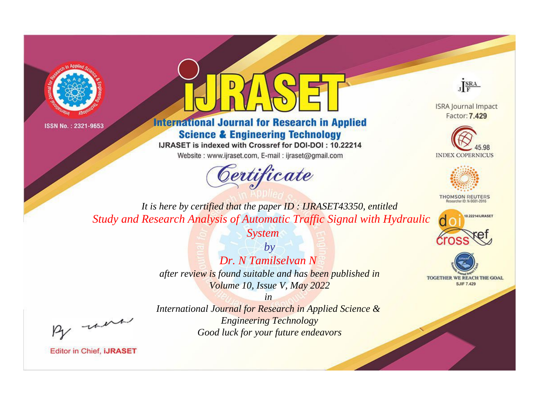



**International Journal for Research in Applied Science & Engineering Technology** 

IJRASET is indexed with Crossref for DOI-DOI: 10.22214

Website: www.ijraset.com, E-mail: ijraset@gmail.com





**ISRA Journal Impact** Factor: 7,429





**THOMSON REUTERS** 



TOGETHER WE REACH THE GOAL **SJIF 7.429** 

*It is here by certified that the paper ID : IJRASET43350, entitled Study and Research Analysis of Automatic Traffic Signal with Hydraulic* 

> *by Dr. N Tamilselvan N after review is found suitable and has been published in Volume 10, Issue V, May 2022*

*System*

, were

*International Journal for Research in Applied Science & Engineering Technology Good luck for your future endeavors*

*in*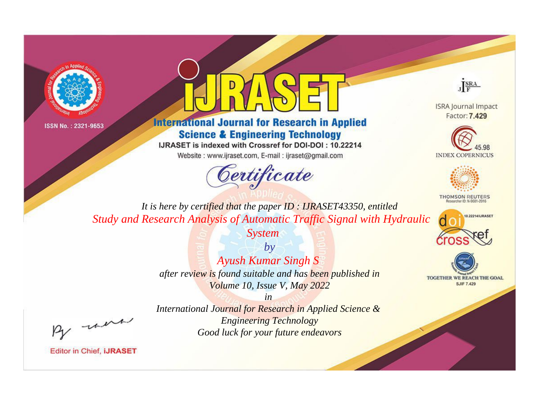



**International Journal for Research in Applied Science & Engineering Technology** 

IJRASET is indexed with Crossref for DOI-DOI: 10.22214

Website: www.ijraset.com, E-mail: ijraset@gmail.com





**ISRA Journal Impact** Factor: 7.429





**THOMSON REUTERS** 



TOGETHER WE REACH THE GOAL **SJIF 7.429** 

*It is here by certified that the paper ID : IJRASET43350, entitled Study and Research Analysis of Automatic Traffic Signal with Hydraulic* 

> *System by Ayush Kumar Singh S after review is found suitable and has been published in Volume 10, Issue V, May 2022*

*in International Journal for Research in Applied Science & Engineering Technology Good luck for your future endeavors*

, un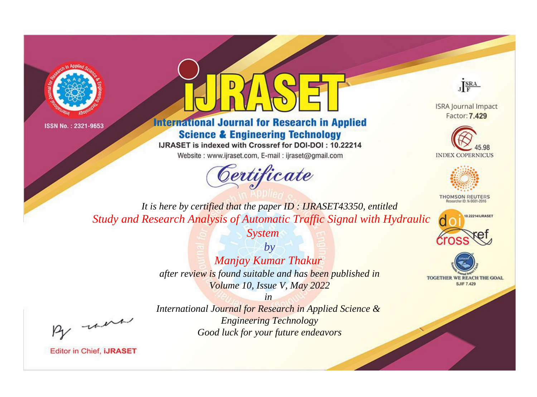



**International Journal for Research in Applied Science & Engineering Technology** 

IJRASET is indexed with Crossref for DOI-DOI: 10.22214

Website: www.ijraset.com, E-mail: ijraset@gmail.com





**ISRA Journal Impact** Factor: 7.429





**THOMSON REUTERS** 



TOGETHER WE REACH THE GOAL **SJIF 7.429** 

*It is here by certified that the paper ID : IJRASET43350, entitled Study and Research Analysis of Automatic Traffic Signal with Hydraulic* 

> *System by Manjay Kumar Thakur after review is found suitable and has been published in Volume 10, Issue V, May 2022*

> > *in*

*International Journal for Research in Applied Science & Engineering Technology Good luck for your future endeavors*

, un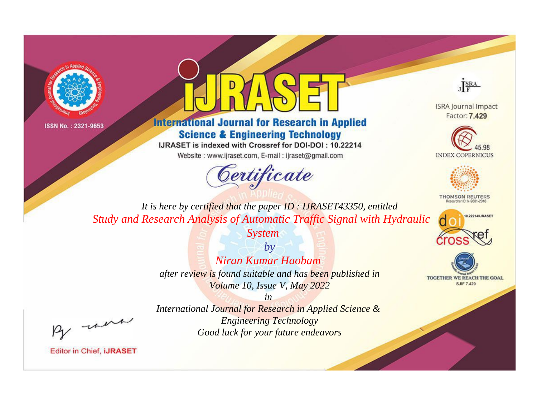



**International Journal for Research in Applied Science & Engineering Technology** 

IJRASET is indexed with Crossref for DOI-DOI: 10.22214

Website: www.ijraset.com, E-mail: ijraset@gmail.com





**ISRA Journal Impact** Factor: 7,429





**THOMSON REUTERS** 



TOGETHER WE REACH THE GOAL **SJIF 7.429** 

*It is here by certified that the paper ID : IJRASET43350, entitled Study and Research Analysis of Automatic Traffic Signal with Hydraulic* 

> *System by Niran Kumar Haobam after review is found suitable and has been published in Volume 10, Issue V, May 2022*

, were

*International Journal for Research in Applied Science & Engineering Technology Good luck for your future endeavors*

*in*